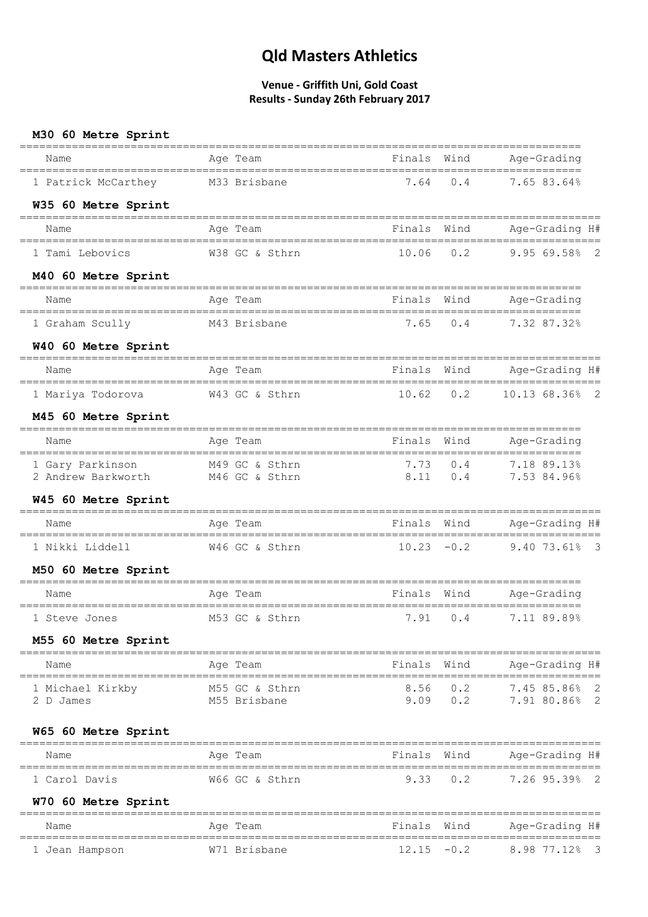| M30 60 Metre Sprint<br>=======================                         |                                                           |               |                      |                                                  |
|------------------------------------------------------------------------|-----------------------------------------------------------|---------------|----------------------|--------------------------------------------------|
| Name<br>=====================================                          | ================<br>Age Team<br>_________________________ | Finals Wind   |                      | Age-Grading                                      |
| 1 Patrick McCarthey                                                    | M33 Brisbane                                              | 7.64          | 0.4                  | 7.65 83.64%                                      |
| W35 60 Metre Sprint                                                    |                                                           |               |                      |                                                  |
| Name                                                                   | Age Team                                                  | Finals        | Wind                 | Age-Grading H#                                   |
| 1 Tami Lebovics                                                        | W38 GC & Sthrn                                            | $10.06$ $0.2$ |                      | $9.9569.58$ 2                                    |
| M40 60 Metre Sprint                                                    |                                                           |               |                      |                                                  |
| Name                                                                   | Age Team                                                  | Finals Wind   |                      | Age-Grading                                      |
| 1 Graham Scully                                                        | M43 Brisbane                                              | 7.65          | 0.4                  | --------------------<br>$7.32$ 87.32%            |
| W40 60 Metre Sprint                                                    |                                                           |               |                      |                                                  |
| Name                                                                   | Age Team                                                  | Finals Wind   |                      | Age-Grading H#                                   |
| 1 Mariya Todorova                                                      | W43 GC & Sthrn 10.62 0.2                                  |               |                      | 10.13 68.36% 2                                   |
| M45 60 Metre Sprint                                                    |                                                           |               |                      |                                                  |
| Name                                                                   | Age Team                                                  | Finals        | Wind                 | Age-Grading                                      |
| 1 Gary Parkinson M49 GC & Sthrn<br>2 Andrew Barkworth M46 GC & Sthrn   |                                                           |               |                      | $7.73$ 0.4 $7.18$ 89.13%<br>8.11 0.4 7.53 84.96% |
| W45 60 Metre Sprint                                                    |                                                           |               |                      |                                                  |
| Name                                                                   | Age Team                                                  | Finals Wind   |                      | Age-Grading H#                                   |
| 1 Nikki Liddell                                                        | W46 GC & Sthrn                                            |               |                      | $10.23 -0.2$ 9.40 73.61% 3                       |
| M50 60 Metre Sprint                                                    |                                                           |               |                      |                                                  |
| Name                                                                   | Age Team                                                  | Finals        | Wind                 | Age-Grading                                      |
| 1 Steve Jones                                                          | M53 GC & Sthrn 7.91 0.4                                   |               |                      | 7.11 89.89%                                      |
| M55 60 Metre Sprint                                                    |                                                           |               |                      |                                                  |
| Name                                                                   | Age Team                                                  | Finals Wind   |                      | Age-Grading H#                                   |
| =====================================<br>1 Michael Kirkby<br>2 D James | M55 GC & Sthrn<br>M55 Brisbane                            |               | 8.56 0.2<br>9.09 0.2 | 7.45 85.86% 2<br>7.91 80.86% 2                   |
| W65 60 Metre Sprint                                                    |                                                           |               |                      |                                                  |
| Name                                                                   | Age Team                                                  | Finals Wind   |                      | Age-Grading H#                                   |
| 1 Carol Davis                                                          | W66 GC & Sthrn                                            | 9.33          | 0.2                  | 7.26 95.39% 2                                    |
| W70 60 Metre Sprint                                                    |                                                           |               |                      |                                                  |
| Name                                                                   | Age Team                                                  | Finals        | Wind                 | Age-Grading H#                                   |
| 1 Jean Hampson                                                         | W71 Brisbane                                              | $12.15 - 0.2$ |                      | 8.98 77.12%<br>$\overline{\mathbf{3}}$           |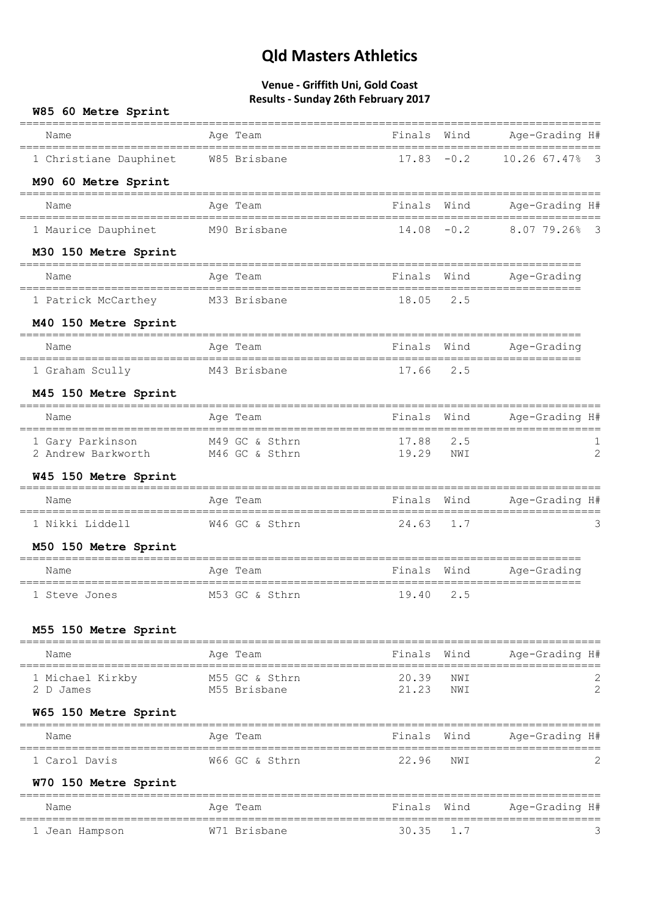| W85 60 Metre Sprint                       | Results - Surrady Zotif February 2017            |                    |               |                                     |                         |
|-------------------------------------------|--------------------------------------------------|--------------------|---------------|-------------------------------------|-------------------------|
| Name                                      | Age Team                                         | Finals Wind        |               | Age-Grading H#                      |                         |
| 1 Christiane Dauphinet W85 Brisbane       |                                                  |                    | $17.83 - 0.2$ | 10.26 67.47% 3                      |                         |
| M90 60 Metre Sprint                       |                                                  |                    |               |                                     |                         |
| Name                                      | Age Team                                         | Finals Wind        |               | Age-Grading H#                      |                         |
| 1 Maurice Dauphinet M90 Brisbane          |                                                  | $14.08 - 0.2$      |               | $8.0779.26$ <sup>§</sup>            | $\overline{\mathbf{3}}$ |
| M30 150 Metre Sprint                      |                                                  |                    |               |                                     |                         |
| Name<br>================================= | Age Team<br>=========================            | Finals Wind        |               | Age-Grading<br>==========           |                         |
| 1 Patrick McCarthey M33 Brisbane          |                                                  | 18.05 2.5          |               |                                     |                         |
| M40 150 Metre Sprint                      |                                                  |                    |               |                                     |                         |
| Name                                      | Age Team                                         | Finals Wind        |               | Age-Grading                         |                         |
| 1 Graham Scully                           | M43 Brisbane                                     | 17.66 2.5          |               |                                     |                         |
| M45 150 Metre Sprint                      |                                                  |                    |               |                                     |                         |
| Name                                      | Age Team                                         | Finals Wind        |               | Age-Grading H#                      |                         |
| 1 Gary Parkinson<br>2 Andrew Barkworth    | M49 GC & Sthrn<br>M46 GC & Sthrn                 | 17.88 2.5<br>19.29 | NWI           |                                     | $\overline{2}$          |
| W45 150 Metre Sprint                      |                                                  |                    |               |                                     |                         |
| Name                                      | Age Team                                         | Finals Wind        |               | Age-Grading H#                      |                         |
| 1 Nikki Liddell                           | W46 GC & Sthrn                                   | 24.63 1.7          |               |                                     | 3                       |
| M50 150 Metre Sprint                      |                                                  |                    |               |                                     |                         |
| Name                                      | Age Team                                         | Finals Wind        |               | Age-Grading<br>-------------------- |                         |
| 1 Steve Jones                             | ==============================<br>M53 GC & Sthrn | 19.40              | 2.5           |                                     |                         |
| M55 150 Metre Sprint                      |                                                  |                    |               |                                     |                         |
| Name                                      | Age Team                                         | Finals             | Wind          | Age-Grading H#                      |                         |
| 1 Michael Kirkby<br>2 D James             | M55 GC & Sthrn<br>M55 Brisbane                   | 20.39<br>21.23     | NWI<br>NWI    |                                     | 2                       |
| W65 150 Metre Sprint                      |                                                  |                    |               |                                     |                         |
| Name                                      | Age Team                                         | Finals             | Wind          | Age-Grading H#                      |                         |
| 1 Carol Davis                             | W66 GC & Sthrn                                   | 22.96              | NWI           |                                     | 2                       |
| W70 150 Metre Sprint                      |                                                  |                    |               |                                     |                         |
| Name                                      | Age Team                                         | Finals             | Wind          | Age-Grading H#                      |                         |
| 1 Jean Hampson                            | W71 Brisbane                                     | 30.35              | 1.7           |                                     | 3                       |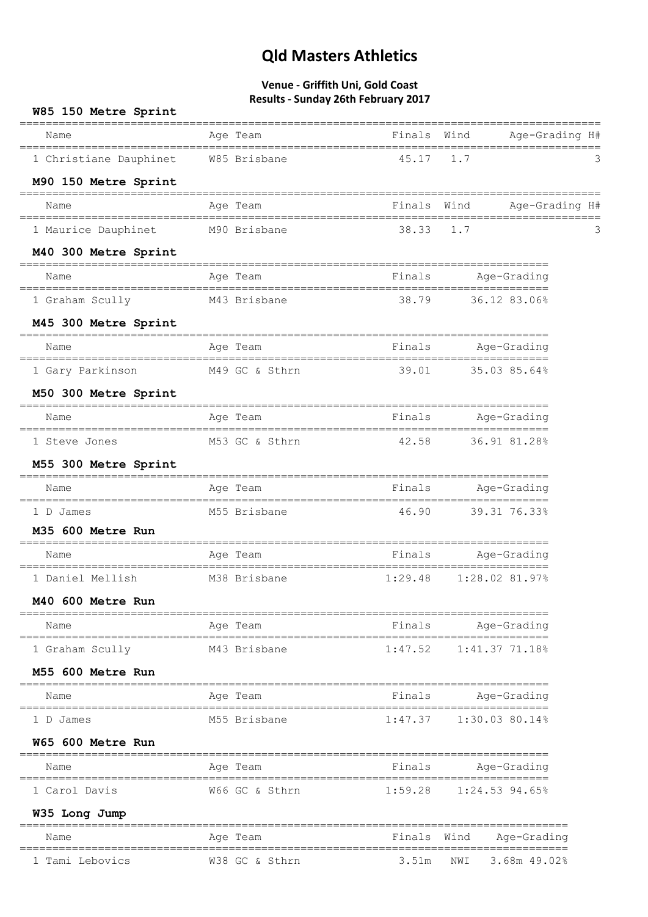| W85 150 Metre Sprint                         |                         |                                               |                     |   |
|----------------------------------------------|-------------------------|-----------------------------------------------|---------------------|---|
| Name<br>____________________________________ | Age Team                | Finals Wind<br>------------------------------ | Age-Grading H#      |   |
| 1 Christiane Dauphinet W85 Brisbane          |                         | 45.17                                         | 1.7                 | З |
| M90 150 Metre Sprint                         |                         |                                               |                     |   |
| Name                                         | Age Team                | Finals Wind                                   | Age-Grading H#      |   |
| 1 Maurice Dauphinet                          | M90 Brisbane            | 38.33                                         | 1.7                 |   |
| M40 300 Metre Sprint                         |                         |                                               |                     |   |
| Name                                         | Age Team                | Finals                                        | Age-Grading         |   |
| 1 Graham Scully                              | M43 Brisbane            | 38.79                                         | 36.12 83.06%        |   |
| M45 300 Metre Sprint                         |                         |                                               |                     |   |
| Name                                         | Age Team                | Finals                                        | Age-Grading         |   |
| 1 Gary Parkinson                             | M49 GC & Sthrn          | 39.01                                         | 35.03 85.64%        |   |
| M50 300 Metre Sprint                         | ----------------------- |                                               |                     |   |
| Name                                         | Age Team                | Finals                                        | Age-Grading         |   |
| 1 Steve Jones                                | M53 GC & Sthrn          | 42.58                                         | 36.91 81.28%        |   |
| M55 300 Metre Sprint                         |                         |                                               |                     |   |
| Name                                         | Age Team                | Finals                                        | Age-Grading         |   |
| 1 D James                                    | M55 Brisbane            | 46.90                                         | 39.31 76.33%        |   |
| M35 600 Metre Run                            |                         |                                               |                     |   |
| Name                                         | Age Team                | Finals                                        | Age-Grading         |   |
| 1 Daniel Mellish                             | M38 Brisbane            | 1:29.48                                       | $1:28.02$ 81.97%    |   |
| M40 600 Metre Run                            |                         |                                               |                     |   |
| Name                                         | Age Team                | Finals                                        | Age-Grading         |   |
| 1 Graham Scully                              | M43 Brisbane            | 1:47.52                                       | 1:41.37 71.18%      |   |
| M55 600 Metre Run                            |                         |                                               |                     |   |
| Name                                         | Age Team                | Finals                                        | Age-Grading         |   |
| 1 D James                                    | M55 Brisbane            | 1:47.37                                       | $1:30.03$ 80.14%    |   |
| W65 600 Metre Run                            |                         |                                               |                     |   |
| Name                                         | Age Team                | Finals                                        | Age-Grading         |   |
| 1 Carol Davis                                | W66 GC & Sthrn          | 1:59.28                                       | $1:24.53$ 94.65%    |   |
| W35 Long Jump                                |                         |                                               |                     |   |
| Name                                         | Age Team                | Finals Wind                                   | Age-Grading         |   |
| 1 Tami Lebovics                              | W38 GC & Sthrn          | 3.51m                                         | 3.68m 49.02%<br>NWI |   |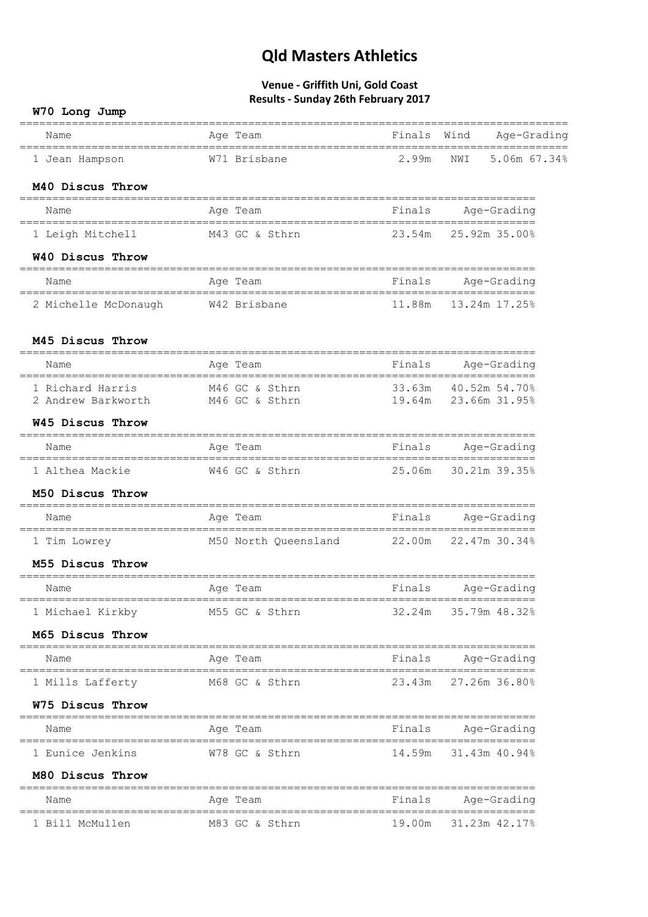| W70 Long Jump                                         |                                                                         |        |                                       |
|-------------------------------------------------------|-------------------------------------------------------------------------|--------|---------------------------------------|
| ---------------------<br>Name                         | ==================================<br>Age Team<br>===================== | Finals | Wind<br>Age-Grading                   |
| 1 Jean Hampson                                        | W71 Brisbane                                                            | 2.99m  | NWI<br>5.06m 67.34%                   |
| M40 Discus Throw                                      |                                                                         |        |                                       |
| Name                                                  | Age Team                                                                | Finals | Age-Grading                           |
| 1 Leigh Mitchell                                      | M43 GC & Sthrn                                                          |        | 23.54m 25.92m 35.00%                  |
| W40 Discus Throw                                      |                                                                         |        |                                       |
| Name                                                  | Age Team                                                                | Finals | Age-Grading                           |
| 2 Michelle McDonaugh                                  | W42 Brisbane                                                            |        | 11.88m  13.24m  17.25%                |
| M45 Discus Throw                                      | =================                                                       |        |                                       |
| Name                                                  | Age Team                                                                | Finals | Age-Grading                           |
| 1 Richard Harris<br>2 Andrew Barkworth M46 GC & Sthrn | M46 GC & Sthrn                                                          | 33.63m | 40.52m 54.70%<br>19.64m 23.66m 31.95% |
| W45 Discus Throw<br>===================               |                                                                         |        | ;================================     |
| Name                                                  | Age Team                                                                | Finals | Aqe-Grading<br>==============         |
| 1 Althea Mackie                                       | W46 GC & Sthrn                                                          |        | 25.06m 30.21m 39.35%                  |
| M50 Discus Throw                                      |                                                                         |        |                                       |
| Name                                                  | Age Team                                                                | Finals | Age-Grading                           |
| 1 Tim Lowrey                                          | M50 North Queensland 22.00m 22.47m 30.34%                               |        |                                       |
| M55 Discus Throw                                      |                                                                         |        |                                       |
| Name                                                  | Age Team                                                                | Finals | Age-Grading                           |
| 1 Michael Kirkby                                      | M55 GC & Sthrn                                                          |        | 32.24m 35.79m 48.32%                  |
| M65 Discus Throw                                      |                                                                         |        |                                       |
| Name                                                  | Age Team                                                                | Finals | Age-Grading                           |
| 1 Mills Lafferty                                      | M68 GC & Sthrn                                                          | 23.43m | 27.26m 36.80%                         |
| W75 Discus Throw                                      | ----------                                                              |        |                                       |
| Name                                                  | Age Team                                                                | Finals | Age-Grading                           |
| 1 Eunice Jenkins                                      | W78 GC & Sthrn                                                          | 14.59m | 31.43m 40.94%                         |
| M80 Discus Throw                                      |                                                                         |        |                                       |
| Name                                                  | Age Team                                                                | Finals | Age-Grading                           |
| 1 Bill McMullen                                       | M83 GC & Sthrn                                                          | 19.00m | 31.23m 42.17%                         |
|                                                       |                                                                         |        |                                       |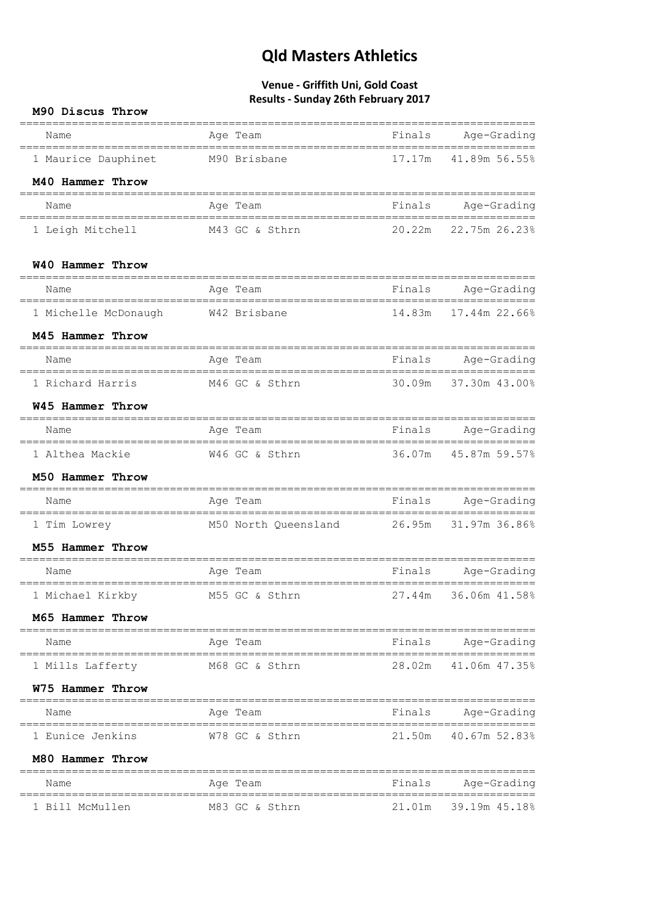| M90 Discus Throw                               |                                           |        |                                    |
|------------------------------------------------|-------------------------------------------|--------|------------------------------------|
| Name<br>====================================== | Age Team                                  | Finals | Age-Grading                        |
| 1 Maurice Dauphinet M90 Brisbane               |                                           |        | 17.17m 41.89m 56.55%               |
| M40 Hammer Throw                               |                                           |        |                                    |
| Name                                           | Age Team                                  | Finals | Age-Grading                        |
| 1 Leigh Mitchell                               | M43 GC & Sthrn                            | 20.22m | 22.75m 26.23%                      |
| W40 Hammer Throw                               |                                           |        | ______________________________     |
| Name                                           | Age Team                                  | Finals | Age-Grading                        |
| 1 Michelle McDonaugh                           | W42 Brisbane                              | 14.83m | 17.44m 22.66%                      |
| M45 Hammer Throw                               |                                           |        |                                    |
| Name                                           | Age Team                                  | Finals | Age-Grading                        |
| 1 Richard Harris                               | M46 GC & Sthrn                            | 30.09m | 37.30m 43.00%                      |
| W45 Hammer Throw                               |                                           |        |                                    |
| Name                                           | Age Team                                  | Finals | Age-Grading                        |
| 1 Althea Mackie M46 GC & Sthrn                 |                                           | 36.07m | 45.87m 59.57%                      |
| M50 Hammer Throw                               |                                           |        |                                    |
| Name                                           | Age Team                                  | Finals | Age-Grading                        |
| 1 Tim Lowrey                                   | M50 North Queensland 26.95m 31.97m 36.86% |        |                                    |
| M55 Hammer Throw                               |                                           |        |                                    |
| Name                                           | Age Team                                  | Finals | Age-Grading<br>=================== |
| 1 Michael Kirkby                               | M55 GC & Sthrn                            | 27.44m | 36.06m 41.58%                      |
| M65 Hammer Throw                               |                                           |        |                                    |
| Name                                           | Age Team                                  | Finals | Age-Grading                        |
| 1 Mills Lafferty                               | M68 GC & Sthrn                            | 28.02m | 41.06m 47.35%                      |
| W75 Hammer Throw                               |                                           |        |                                    |
| Name                                           | Age Team                                  | Finals | Age-Grading                        |
| 1 Eunice Jenkins                               | W78 GC & Sthrn                            | 21.50m | 40.67m 52.83%                      |
| M80 Hammer Throw                               |                                           |        |                                    |
| Name                                           | Age Team                                  | Finals | Age-Grading                        |
| 1 Bill McMullen                                | M83 GC & Sthrn                            | 21.01m | 39.19m 45.18%                      |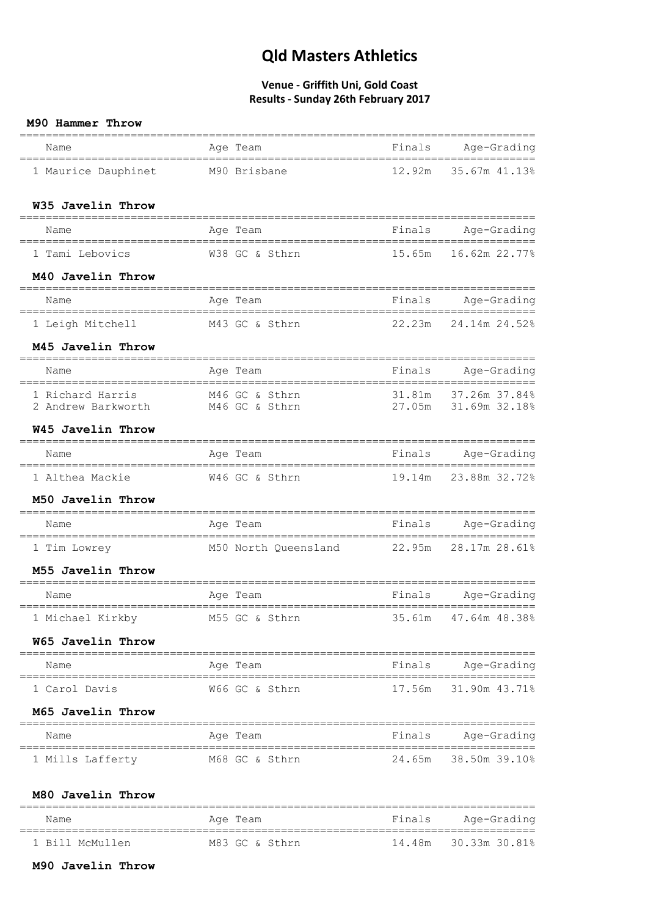#### **Venue - Griffith Uni, Gold Coast Results - Sunday 26th February 2017**

#### **M90 Hammer Throw**

| Name                            | Age Team                                                                                                                                                                                                                                                                                                             | Finals Age-Grading     |
|---------------------------------|----------------------------------------------------------------------------------------------------------------------------------------------------------------------------------------------------------------------------------------------------------------------------------------------------------------------|------------------------|
|                                 | 1 Maurice Dauphinet M90 Brisbane                                                                                                                                                                                                                                                                                     | 12.92m 35.67m 41.13%   |
| W35 Javelin Throw               |                                                                                                                                                                                                                                                                                                                      |                        |
| Name                            | Age Team                                                                                                                                                                                                                                                                                                             | Finals Age-Grading     |
|                                 | 1 Tami Lebovics M38 GC & Sthrn                                                                                                                                                                                                                                                                                       | 15.65m  16.62m  22.77% |
| M40 Javelin Throw               |                                                                                                                                                                                                                                                                                                                      |                        |
| Name                            | Age Team <a> Sension <a> Sension <a> Sension <a> Finals <a> Age-Grading</a> Rension <a> Rension <a> Rension <a> Rension <a> Rension <a> Rension <a> Rension <a> Rension <a> Rension <a> Rension <a> Rension <a> Rension <a<a<a< td=""><td></td></a<a<a<></a></a></a></a></a></a></a></a></a></a></a></a></a></a></a> |                        |
|                                 | 1 Leigh Mitchell M43 GC & Sthrn 22.23m 24.14m 24.52%                                                                                                                                                                                                                                                                 |                        |
| M45 Javelin Throw               |                                                                                                                                                                                                                                                                                                                      |                        |
| Name                            | Age Team                                                                                                                                                                                                                                                                                                             | Finals Age-Grading     |
|                                 | 1 Richard Harris M46 GC & Sthrn 31.81m 37.26m 37.84%<br>2 Andrew Barkworth M46 GC & Sthrn 27.05m 31.69m 32.18%                                                                                                                                                                                                       |                        |
| W45 Javelin Throw               |                                                                                                                                                                                                                                                                                                                      |                        |
| Name                            | Age Team and Finals Age-Grading                                                                                                                                                                                                                                                                                      |                        |
|                                 | 1 Althea Mackie M46 GC & Sthrn                                                                                                                                                                                                                                                                                       | 19.14m  23.88m  32.72% |
| M50 Javelin Throw               |                                                                                                                                                                                                                                                                                                                      |                        |
| Name                            | Age Team and Finals Age-Grading                                                                                                                                                                                                                                                                                      |                        |
| 1 Tim Lowrey                    | M50 North Queensland 22.95m 28.17m 28.61%                                                                                                                                                                                                                                                                            |                        |
| M55 Javelin Throw               |                                                                                                                                                                                                                                                                                                                      |                        |
| Name                            | Finals Age-Grading<br>Age Team                                                                                                                                                                                                                                                                                       |                        |
| 1 Michael Kirkby                | M55 GC & Sthrn                                                                                                                                                                                                                                                                                                       | 35.61m 47.64m 48.38%   |
| W65 Javelin Throw               |                                                                                                                                                                                                                                                                                                                      |                        |
| Name                            | Age Team                                                                                                                                                                                                                                                                                                             | Finals Age-Grading     |
| 1 Carol Davis                   | W66 GC & Sthrn                                                                                                                                                                                                                                                                                                       | 17.56m 31.90m 43.71%   |
| M65 Javelin Throw               |                                                                                                                                                                                                                                                                                                                      |                        |
| Name                            | Age Team                                                                                                                                                                                                                                                                                                             | Finals Age-Grading     |
| 1 Mills Lafferty M68 GC & Sthrn |                                                                                                                                                                                                                                                                                                                      | 24.65m 38.50m 39.10%   |
| M80 Javelin Throw               |                                                                                                                                                                                                                                                                                                                      |                        |

| Name            | Age Team       | Finals | Age-Grading          |
|-----------------|----------------|--------|----------------------|
| 1 Bill McMullen | M83 GC & Sthrn |        | 14.48m 30.33m 30.81% |

#### **M90 Javelin Throw**